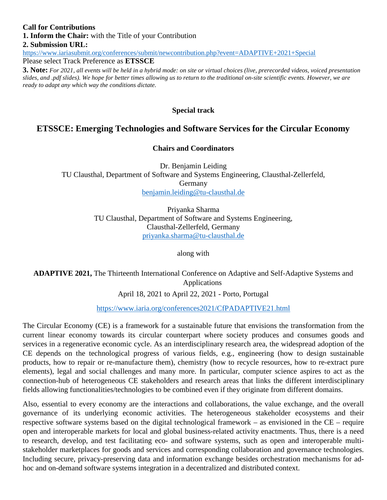#### **Call for Contributions 1. Inform the Chair:** with the Title of your Contribution **2. Submission URL:** <https://www.iariasubmit.org/conferences/submit/newcontribution.php?event=ADAPTIVE+2021+Special> Please select Track Preference as **ETSSCE**

**3. Note:** *For 2021, all events will be held in a hybrid mode: on site or virtual choices (live, prerecorded videos, voiced presentation slides, and .pdf slides). We hope for better times allowing us to return to the traditional on-site scientific events. However, we are ready to adapt any which way the conditions dictate.*

#### **Special track**

## **ETSSCE: Emerging Technologies and Software Services for the Circular Economy**

#### **Chairs and Coordinators**

Dr. Benjamin Leiding TU Clausthal, Department of Software and Systems Engineering, Clausthal-Zellerfeld, Germany benjamin.leiding@tu-clausthal.de

> Priyanka Sharma TU Clausthal, Department of Software and Systems Engineering, Clausthal-Zellerfeld, Germany [priyanka.sharma@tu-clausthal.de](mailto:priyanka.sharma@tu-clausthal.de)

> > along with

**ADAPTIVE 2021,** The Thirteenth International Conference on Adaptive and Self-Adaptive Systems and Applications April 18, 2021 to April 22, 2021 - Porto, Portugal

<https://www.iaria.org/conferences2021/CfPADAPTIVE21.html>

The Circular Economy (CE) is a framework for a sustainable future that envisions the transformation from the current linear economy towards its circular counterpart where society produces and consumes goods and services in a regenerative economic cycle. As an interdisciplinary research area, the widespread adoption of the CE depends on the technological progress of various fields, e.g., engineering (how to design sustainable products, how to repair or re-manufacture them), chemistry (how to recycle resources, how to re-extract pure elements), legal and social challenges and many more. In particular, computer science aspires to act as the connection-hub of heterogeneous CE stakeholders and research areas that links the different interdisciplinary fields allowing functionalities/technologies to be combined even if they originate from different domains.

Also, essential to every economy are the interactions and collaborations, the value exchange, and the overall governance of its underlying economic activities. The heterogeneous stakeholder ecosystems and their respective software systems based on the digital technological framework – as envisioned in the CE – require open and interoperable markets for local and global business-related activity enactments. Thus, there is a need to research, develop, and test facilitating eco- and software systems, such as open and interoperable multistakeholder marketplaces for goods and services and corresponding collaboration and governance technologies. Including secure, privacy-preserving data and information exchange besides orchestration mechanisms for adhoc and on-demand software systems integration in a decentralized and distributed context.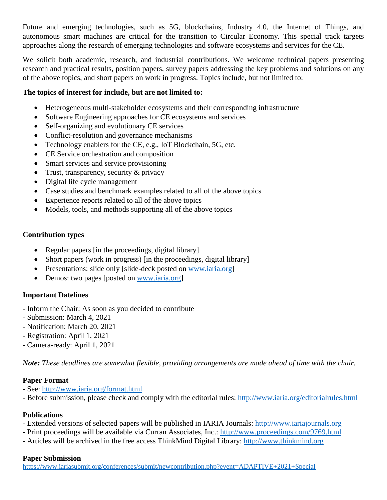Future and emerging technologies, such as 5G, blockchains, Industry 4.0, the Internet of Things, and autonomous smart machines are critical for the transition to Circular Economy. This special track targets approaches along the research of emerging technologies and software ecosystems and services for the CE.

We solicit both academic, research, and industrial contributions. We welcome technical papers presenting research and practical results, position papers, survey papers addressing the key problems and solutions on any of the above topics, and short papers on work in progress. Topics include, but not limited to:

### **The topics of interest for include, but are not limited to:**

- Heterogeneous multi-stakeholder ecosystems and their corresponding infrastructure
- Software Engineering approaches for CE ecosystems and services
- Self-organizing and evolutionary CE services
- Conflict-resolution and governance mechanisms
- Technology enablers for the CE, e.g., IoT Blockchain, 5G, etc.
- CE Service orchestration and composition
- Smart services and service provisioning
- Trust, transparency, security  $&$  privacy
- Digital life cycle management
- Case studies and benchmark examples related to all of the above topics
- Experience reports related to all of the above topics
- Models, tools, and methods supporting all of the above topics

#### **Contribution types**

- Regular papers [in the proceedings, digital library]
- Short papers (work in progress) [in the proceedings, digital library]
- Presentations: slide only [slide-deck posted on [www.iaria.org](http://www.iaria.org/)]
- Demos: two pages [posted on [www.iaria.org](http://www.iaria.org/)]

## **Important Datelines**

- Inform the Chair: As soon as you decided to contribute
- Submission: March 4, 2021
- Notification: March 20, 2021
- Registration: April 1, 2021
- Camera-ready: April 1, 2021

*Note: These deadlines are somewhat flexible, providing arrangements are made ahead of time with the chair.*

#### **Paper Format**

- See: <http://www.iaria.org/format.html>
- Before submission, please check and comply with the editorial rules: <http://www.iaria.org/editorialrules.html>

## **Publications**

- Extended versions of selected papers will be published in IARIA Journals: [http://www.iariajournals.org](http://www.iariajournals.org/)
- Print proceedings will be available via Curran Associates, Inc.: <http://www.proceedings.com/9769.html>
- Articles will be archived in the free access ThinkMind Digital Library: [http://www.thinkmind.org](http://www.thinkmind.org/)

#### **Paper Submission**

<https://www.iariasubmit.org/conferences/submit/newcontribution.php?event=ADAPTIVE+2021+Special>